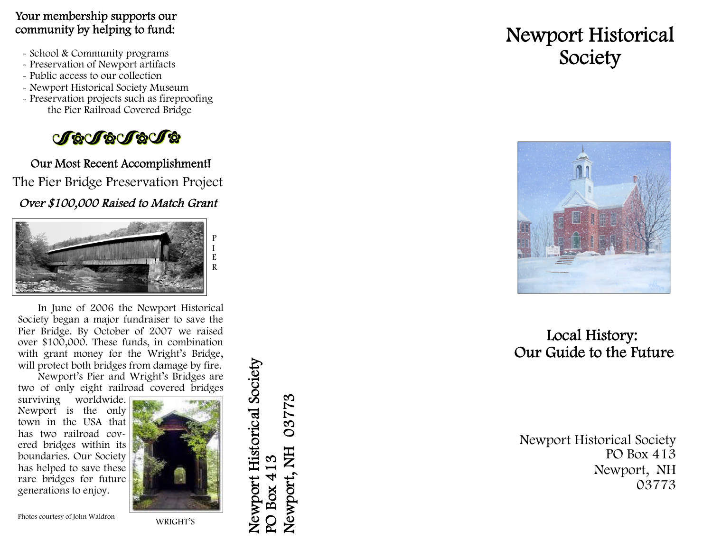#### Your membership supports our community by helping to fund:

- 
- School & Community programs Preservation of Newport artifacts
- Public access to our collection
- 
- Newport Historical Society Museum Preservation projects such as fireproofing the Pier Railroad Covered Bridge



Our Most Recent Accomplishment! The Pier Bridge Preservation Project

Over \$100,000 Raised to Match Grant



In June of 2006 the Newport Historical Society began a major fundraiser to save the Pier Bridge. By October of 2007 we raised over \$100,000. These funds, in combination with grant money for the Wright's Bridge, will protect both bridges from damage by fire.

Newport's Pier and Wright's Bridges are two of only eight railroad covered bridges

surviving worldwide. Newport is the only town in the USA that has two railroad covered bridges within its boundaries. Our Society has helped to save these rare bridges for future generations to enjoy.



Newport Historical Society Newport Historical Society PO Box 413<br>Newport, NH 03773 Newport, NH 03773

# Newport Historical Society



## Local History: Our Guide to the Future

Newport Historical Society PO Box 413 Newport, NH 03773

Photos courtesy of John Waldron

WRIGHT'S